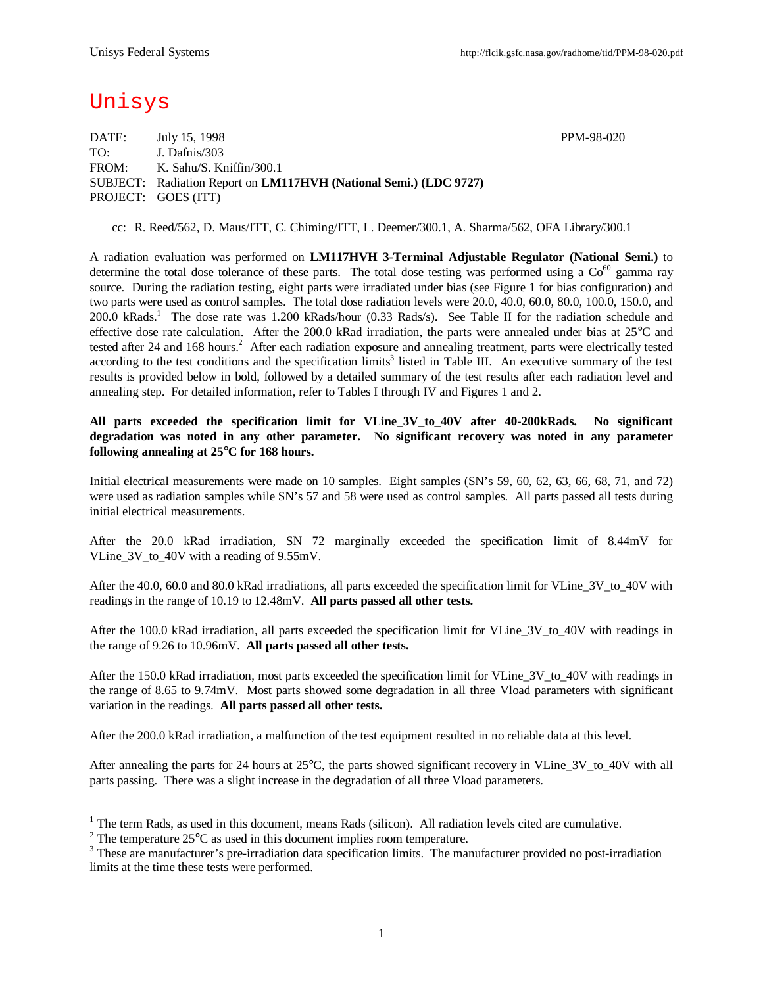# Unisys

DATE: July 15, 1998 PPM-98-020 TO: J. Dafnis/303 FROM: K. Sahu/S. Kniffin/300.1 SUBJECT: Radiation Report on **LM117HVH (National Semi.) (LDC 9727)** PROJECT: GOES (ITT)

cc: R. Reed/562, D. Maus/ITT, C. Chiming/ITT, L. Deemer/300.1, A. Sharma/562, OFA Library/300.1

A radiation evaluation was performed on **LM117HVH 3-Terminal Adjustable Regulator (National Semi.)** to determine the total dose tolerance of these parts. The total dose testing was performed using a  $Co<sup>60</sup>$  gamma ray source. During the radiation testing, eight parts were irradiated under bias (see Figure 1 for bias configuration) and two parts were used as control samples. The total dose radiation levels were 20.0, 40.0, 60.0, 80.0, 100.0, 150.0, and 200.0 kRads.<sup>1</sup> The dose rate was 1.200 kRads/hour (0.33 Rads/s). See Table II for the radiation schedule and effective dose rate calculation. After the 200.0 kRad irradiation, the parts were annealed under bias at 25°C and tested after 24 and 168 hours.<sup>2</sup> After each radiation exposure and annealing treatment, parts were electrically tested according to the test conditions and the specification limits<sup>3</sup> listed in Table III. An executive summary of the test results is provided below in bold, followed by a detailed summary of the test results after each radiation level and annealing step. For detailed information, refer to Tables I through IV and Figures 1 and 2.

#### **All parts exceeded the specification limit for VLine\_3V\_to\_40V after 40-200kRads. No significant degradation was noted in any other parameter. No significant recovery was noted in any parameter following annealing at 25°C for 168 hours.**

Initial electrical measurements were made on 10 samples. Eight samples (SN's 59, 60, 62, 63, 66, 68, 71, and 72) were used as radiation samples while SN's 57 and 58 were used as control samples. All parts passed all tests during initial electrical measurements.

After the 20.0 kRad irradiation, SN 72 marginally exceeded the specification limit of 8.44mV for VLine 3V to 40V with a reading of 9.55mV.

After the 40.0, 60.0 and 80.0 kRad irradiations, all parts exceeded the specification limit for VLine 3V to 40V with readings in the range of 10.19 to 12.48mV. **All parts passed all other tests.**

After the 100.0 kRad irradiation, all parts exceeded the specification limit for VLine 3V to 40V with readings in the range of 9.26 to 10.96mV. **All parts passed all other tests.**

After the 150.0 kRad irradiation, most parts exceeded the specification limit for VLine\_3V\_to\_40V with readings in the range of 8.65 to 9.74mV. Most parts showed some degradation in all three Vload parameters with significant variation in the readings. **All parts passed all other tests.**

After the 200.0 kRad irradiation, a malfunction of the test equipment resulted in no reliable data at this level.

After annealing the parts for 24 hours at  $25^{\circ}$ C, the parts showed significant recovery in VLine 3V to 40V with all parts passing. There was a slight increase in the degradation of all three Vload parameters.

<sup>&</sup>lt;sup>1</sup> The term Rads, as used in this document, means Rads (silicon). All radiation levels cited are cumulative.

<sup>&</sup>lt;sup>2</sup> The temperature 25 $^{\circ}$ C as used in this document implies room temperature.

<sup>&</sup>lt;sup>3</sup> These are manufacturer's pre-irradiation data specification limits. The manufacturer provided no post-irradiation limits at the time these tests were performed.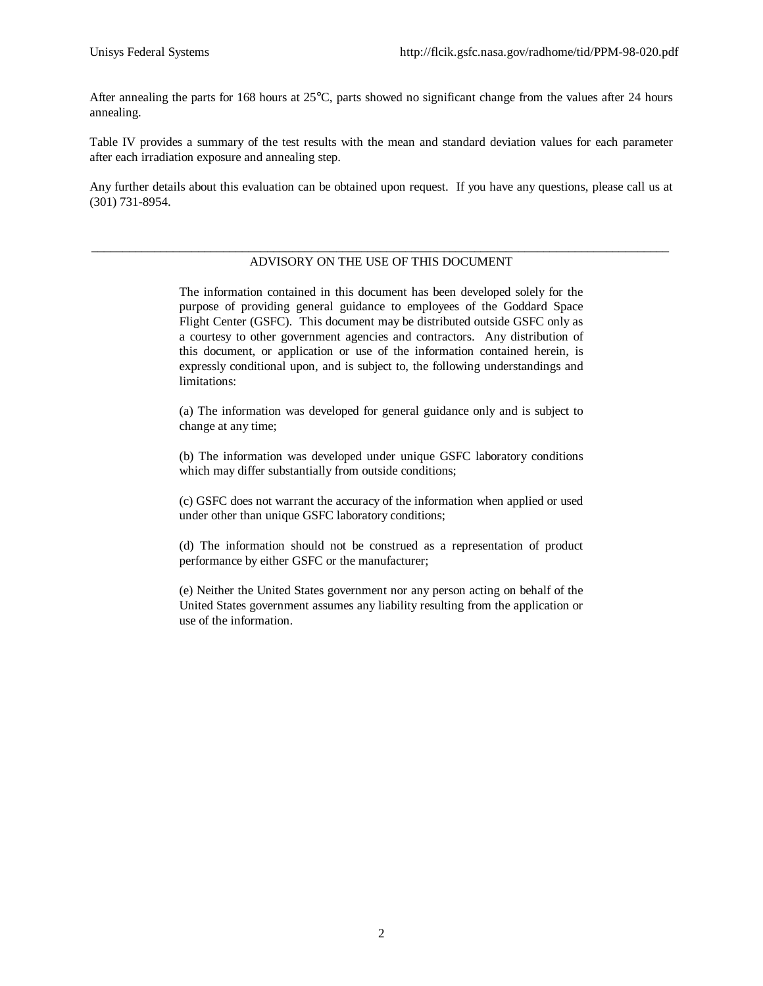After annealing the parts for 168 hours at 25°C, parts showed no significant change from the values after 24 hours annealing.

Table IV provides a summary of the test results with the mean and standard deviation values for each parameter after each irradiation exposure and annealing step.

Any further details about this evaluation can be obtained upon request. If you have any questions, please call us at (301) 731-8954.

#### \_\_\_\_\_\_\_\_\_\_\_\_\_\_\_\_\_\_\_\_\_\_\_\_\_\_\_\_\_\_\_\_\_\_\_\_\_\_\_\_\_\_\_\_\_\_\_\_\_\_\_\_\_\_\_\_\_\_\_\_\_\_\_\_\_\_\_\_\_\_\_\_\_\_\_\_\_\_\_\_\_\_\_\_\_\_\_\_\_\_\_\_ ADVISORY ON THE USE OF THIS DOCUMENT

The information contained in this document has been developed solely for the purpose of providing general guidance to employees of the Goddard Space Flight Center (GSFC). This document may be distributed outside GSFC only as a courtesy to other government agencies and contractors. Any distribution of this document, or application or use of the information contained herein, is expressly conditional upon, and is subject to, the following understandings and limitations:

(a) The information was developed for general guidance only and is subject to change at any time;

(b) The information was developed under unique GSFC laboratory conditions which may differ substantially from outside conditions;

(c) GSFC does not warrant the accuracy of the information when applied or used under other than unique GSFC laboratory conditions;

(d) The information should not be construed as a representation of product performance by either GSFC or the manufacturer;

(e) Neither the United States government nor any person acting on behalf of the United States government assumes any liability resulting from the application or use of the information.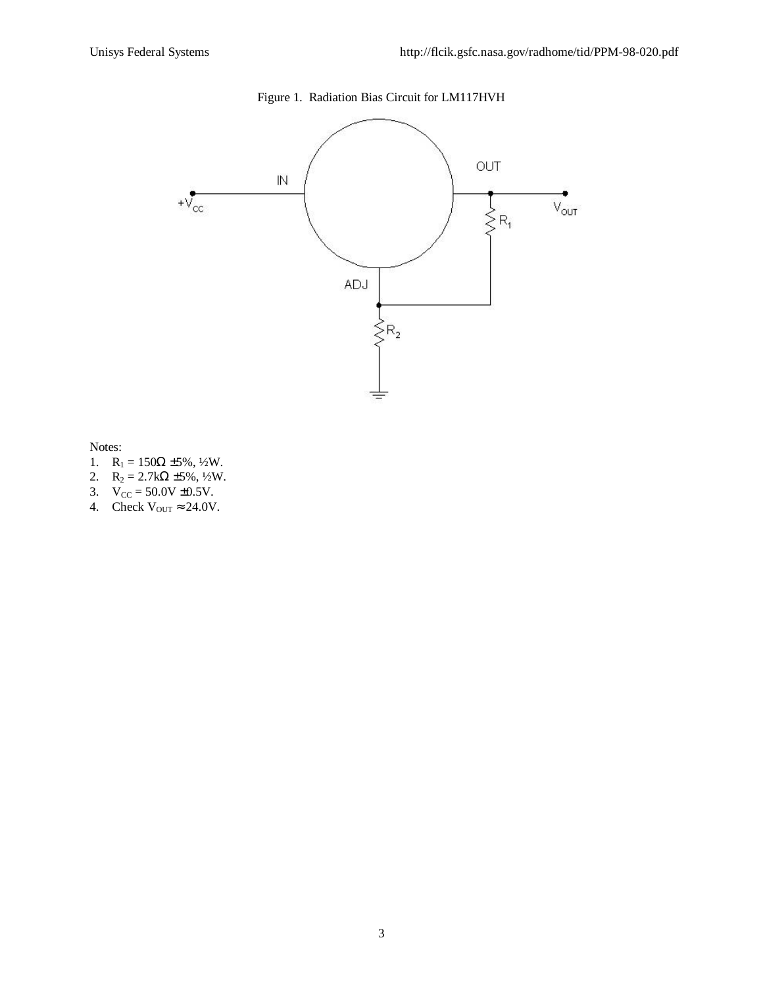

Notes:

- 1.  $R_1 = 150\Omega \pm 5\%, \frac{1}{2}W$ .
- 2.  $R_2 = 2.7k\Omega \pm 5\%, \frac{1}{2}W$ .
- 3.  $V_{CC} = 50.0V \pm 0.5V$ .
- 4. Check  $V_{\text{OUT}} \approx 24.0 V$ .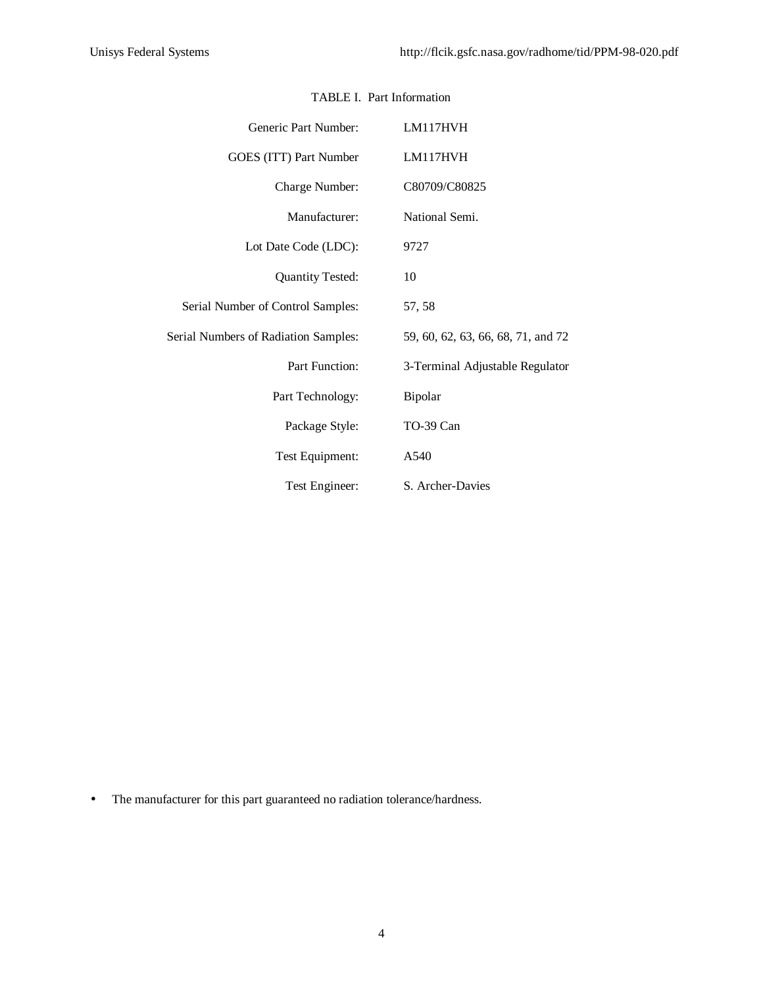| Generic Part Number:                        | LM117HVH                           |
|---------------------------------------------|------------------------------------|
| GOES (ITT) Part Number                      | LM117HVH                           |
| Charge Number:                              | C80709/C80825                      |
| Manufacturer:                               | National Semi.                     |
| Lot Date Code (LDC):                        | 9727                               |
| <b>Quantity Tested:</b>                     | 10                                 |
| Serial Number of Control Samples:           | 57, 58                             |
| <b>Serial Numbers of Radiation Samples:</b> | 59, 60, 62, 63, 66, 68, 71, and 72 |
| Part Function:                              | 3-Terminal Adjustable Regulator    |
| Part Technology:                            | Bipolar                            |
| Package Style:                              | TO-39 Can                          |
| Test Equipment:                             | A540                               |
| Test Engineer:                              | S. Archer-Davies                   |

## TABLE I. Part Information

• The manufacturer for this part guaranteed no radiation tolerance/hardness.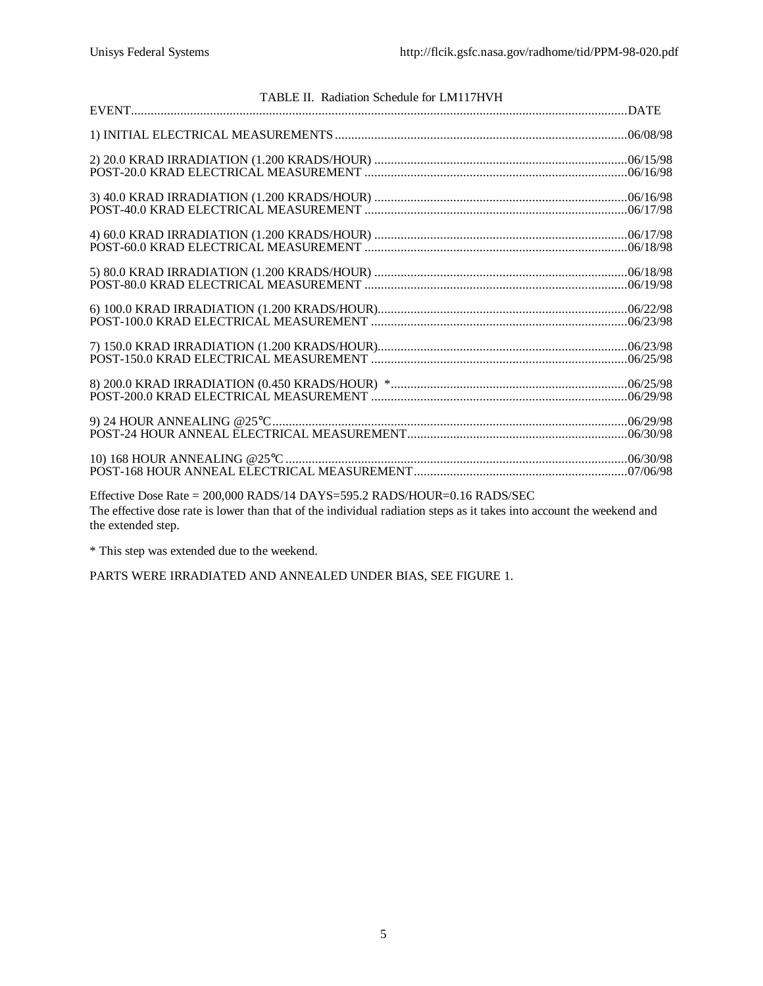| TABLE II. Radiation Schedule for LM117HVH                                                                             |  |
|-----------------------------------------------------------------------------------------------------------------------|--|
|                                                                                                                       |  |
|                                                                                                                       |  |
|                                                                                                                       |  |
|                                                                                                                       |  |
|                                                                                                                       |  |
|                                                                                                                       |  |
|                                                                                                                       |  |
|                                                                                                                       |  |
|                                                                                                                       |  |
|                                                                                                                       |  |
|                                                                                                                       |  |
|                                                                                                                       |  |
|                                                                                                                       |  |
|                                                                                                                       |  |
|                                                                                                                       |  |
|                                                                                                                       |  |
|                                                                                                                       |  |
|                                                                                                                       |  |
|                                                                                                                       |  |
|                                                                                                                       |  |
| Effective Dose Rate = 200,000 RADS/14 DAYS=595.2 RADS/HOUR=0.16 RADS/SEC                                              |  |
| The effective dose rate is lower than that of the individual rediation steps as it takes into account the weekend and |  |

The effective dose rate is lower than that of the individual radiation steps as it takes into account the weekend and the extended step.

\* This step was extended due to the weekend.

PARTS WERE IRRADIATED AND ANNEALED UNDER BIAS, SEE FIGURE 1.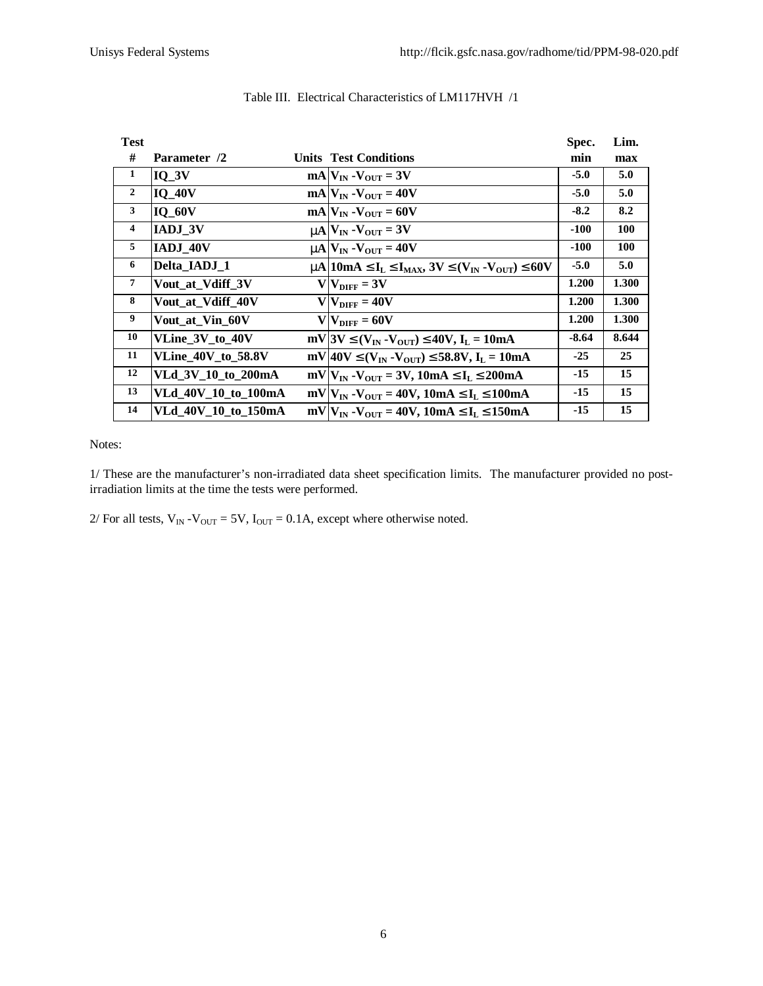| <b>Test</b>    |                           |                                                                                                                                                    | Spec.   | Lim.  |
|----------------|---------------------------|----------------------------------------------------------------------------------------------------------------------------------------------------|---------|-------|
| #              | Parameter /2              | <b>Units Test Conditions</b>                                                                                                                       | min     | max   |
| 1              | $IO$ $3V$                 | $mAV_{IN} - V_{OIT} = 3V$                                                                                                                          | $-5.0$  | 5.0   |
| $\overline{2}$ | <b>IQ 40V</b>             | $mA$ $V_{IN}$ - $V_{OUT}$ = 40V                                                                                                                    | $-5.0$  | 5.0   |
| 3              | <b>IQ 60V</b>             | $mA$ $V_{IN}$ - $V_{OUT}$ = 60V                                                                                                                    | $-8.2$  | 8.2   |
| $\overline{4}$ | <b>IADJ 3V</b>            | $mN_{\text{IN}}$ - $V_{\text{OUT}}$ = 3V                                                                                                           | $-100$  | 100   |
| 5              | IADJ 40V                  | $mN_{\text{IN}} - V_{\text{OUT}} = 40V$                                                                                                            | $-100$  | 100   |
| 6              | Delta IADJ 1              | m   10m A $\mathbf{E}$ I <sub>L</sub> $\mathbf{E}$ I <sub>MAX</sub> , 3V $\mathbf{E}$ (V <sub>IN</sub> - V <sub>OUT</sub> ) $\mathbf{\pounds}$ 60V | $-5.0$  | 5.0   |
| $\overline{7}$ | Vout at Vdiff 3V          | $V V_{\text{DIFF}} = 3V$                                                                                                                           | 1.200   | 1.300 |
| 8              | Vout at Vdiff 40V         | $VNIFF = 40V$                                                                                                                                      | 1.200   | 1.300 |
| 9              | Vout_at_Vin_60V           | $V V_{\text{DIFF}} = 60V$                                                                                                                          | 1.200   | 1.300 |
| 10             | VLine_3V_to_40V           | $mV$  3V £(V <sub>IN</sub> -V <sub>OUT</sub> ) £40V, I <sub>L</sub> = 10mA                                                                         | $-8.64$ | 8.644 |
| 11             | <b>VLine_40V_to_58.8V</b> | mV 40V $\mathbf{\mathfrak{L}}(V_{IN} - V_{OUT}) \mathbf{\mathfrak{L}}$ 58.8V, $I_L = 10mA$                                                         | $-25$   | 25    |
| 12             | VLd_3V_10_to_200mA        | $mV V_{IN} - V_{OUT} = 3V$ , 10mA £I <sub>L</sub> £200mA                                                                                           | $-15$   | 15    |
| 13             | VLd 40V 10 to 100mA       | $mV V_{IN}$ -V <sub>OUT</sub> = 40V, 10mA £I <sub>L</sub> £100mA                                                                                   | $-15$   | 15    |
| 14             | VLd 40V 10 to 150mA       | $mV V_{IN} - V_{OUT} = 40V$ , 10mA £I <sub>L</sub> £150mA                                                                                          | $-15$   | 15    |

### Table III. Electrical Characteristics of LM117HVH /1

Notes:

1/ These are the manufacturer's non-irradiated data sheet specification limits. The manufacturer provided no postirradiation limits at the time the tests were performed.

2/ For all tests,  $V_{IN} - V_{OUT} = 5V$ ,  $I_{OUT} = 0.1A$ , except where otherwise noted.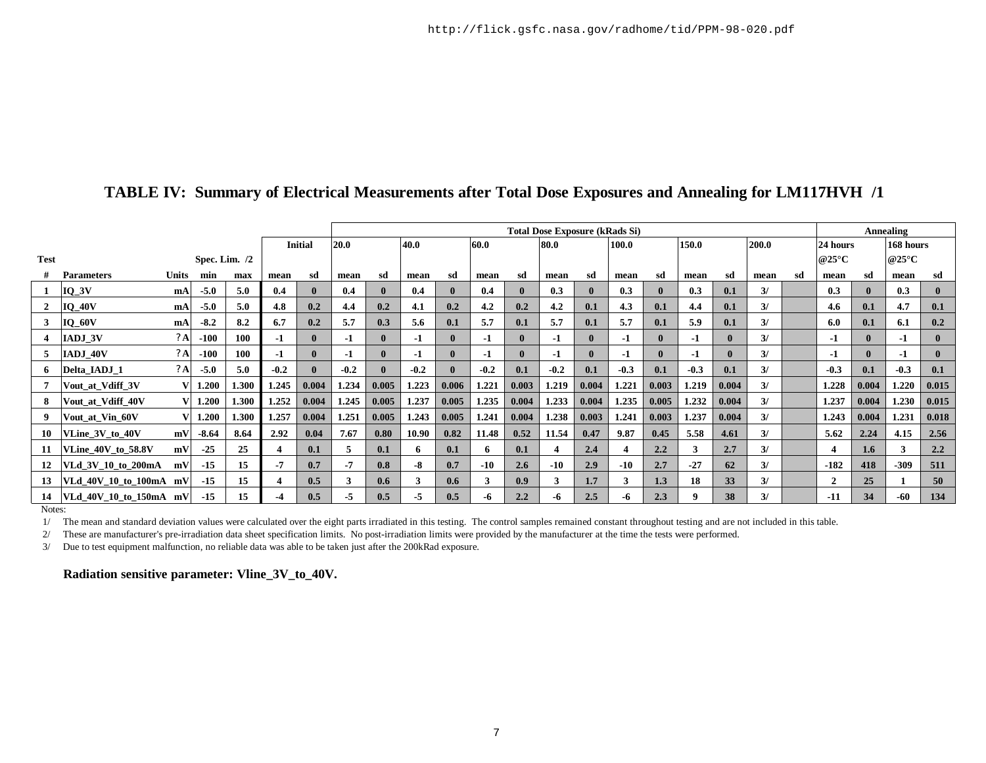|                                |                        |              |         |       |        |                | <b>Total Dose Exposure (kRads Si)</b> |              |        |              |        |               |        |              |        | <b>Annealing</b> |          |                          |               |                     |              |       |           |              |
|--------------------------------|------------------------|--------------|---------|-------|--------|----------------|---------------------------------------|--------------|--------|--------------|--------|---------------|--------|--------------|--------|------------------|----------|--------------------------|---------------|---------------------|--------------|-------|-----------|--------------|
|                                |                        |              |         |       |        | <b>Initial</b> | 20.0                                  |              | 40.0   |              | 60.0   |               | 80.0   |              | 100.0  |                  | 150.0    |                          | 200.0         |                     | 24 hours     |       | 168 hours |              |
| <b>Test</b><br>Spec. Lim. $/2$ |                        |              |         |       |        |                |                                       |              |        |              |        |               |        |              |        |                  |          | @25 $\mathrm{^{\circ}C}$ |               | @25 $\rm ^{\circ}C$ |              |       |           |              |
|                                | <b>Parameters</b>      | <b>Units</b> | min     | max   | mean   | sd             | mean                                  | sd           | mean   | sd           | mean   | sd            | mean   | sd           | mean   | sd               | mean     | sd                       | mean          | sd                  | mean         | sd    | mean      | sd           |
|                                | $IQ_3V$                | mA           | $-5.0$  | 5.0   | 0.4    |                | 0.4                                   | $\mathbf{0}$ | 0.4    | $\mathbf{0}$ | 0.4    |               | 0.3    | $\mathbf{0}$ | 0.3    |                  | 0.3      | 0.1                      | 3/            |                     | 0.3          |       | 0.3       | $\bf{0}$     |
| $\mathbf{2}$                   | $IQ_40V$               | mA           | $-5.0$  | 5.0   | 4.8    | 0.2            | 4.4                                   | 0.2          | 4.1    | 0.2          | 4.2    | 0.2           | 4.2    | 0.1          | 4.3    | 0.1              | 4.4      | 0.1                      | 3/            |                     | 4.6          | 0.1   | 4.7       | 0.1          |
| 3                              | $IO_60V$               | mA           | $-8.2$  | 8.2   | 6.7    | 0.2            | 5.7                                   | 0.3          | 5.6    | 0.1          | 5.7    | 0.1           | 5.7    | 0.1          | 5.7    | 0.1              | 5.9      | 0.1                      | 3/            |                     | 6.0          | 0.1   | 6.1       | 0.2          |
|                                | <b>IADJ 3V</b>         | ?A           | $-100$  | 100   | -1     | 0              | $-1$                                  | $\mathbf{0}$ | $-1$   | $\mathbf{0}$ | -1     |               | $-1$   | $\mathbf{0}$ | -1     |                  | -1       | $\mathbf{0}$             | 3/            |                     | $-1$         |       | $-1$      | $\mathbf{0}$ |
| 5                              | IADJ 40V               | $?^A$        | $-100$  | 100   | -1     |                | $-1$                                  | $\mathbf{0}$ | $-1$   | $\mathbf{0}$ | -1     |               | $-1$   | $\mathbf{0}$ | -1     |                  | -1       | $\mathbf{0}$             | 3/            |                     | -1           |       | $-1$      | $\mathbf{0}$ |
| 6                              | Delta IADJ 1           | ?A           | $-5.0$  | 5.0   | $-0.2$ |                | $-0.2$                                |              | $-0.2$ | $\mathbf{0}$ | $-0.2$ | 0.1           | $-0.2$ | 0.1          | $-0.3$ | 0.1              | $-0.3$   | 0.1                      | $\frac{3}{2}$ |                     | $-0.3$       | 0.1   | $-0.3$    | 0.1          |
|                                | Vout at Vdiff 3V       |              | 1.200   | 1.300 | 1.245  | 0.004          | 1.234                                 | 0.005        | 1.223  | 0.006        | 1.221  | 0.003         | 1.219  | 0.004        | 1.221  | 0.003            | 1.219    | 0.004                    | 3/            |                     | 1.228        | 0.004 | 1.220     | 0.015        |
| 8                              | Vout at Vdiff 40V      |              | 1.200   | 1.300 | 1.252  | 0.004          | 1.245                                 | 0.005        | 1.237  | 0.005        | 1.235  | 0.004         | 1.233  | 0.004        | 1.235  | 0.005            | 1.232    | 0.004                    | 3/            |                     | 1.237        | 0.004 | 1.230     | 0.015        |
| 9                              | Vout at Vin 60V        |              | 1.200   | 1.300 | 1.257  | 0.004          | 1.251                                 | 0.005        | 1.243  | 0.005        | 1.241  | 0.004         | 1.238  | 0.003        | 1.241  | 0.003            | 1.237    | 0.004                    | 3/            |                     | 1.243        | 0.004 | 1.231     | 0.018        |
| 10                             | <b>VLine 3V to 40V</b> | mV           | $-8.64$ | 8.64  | 2.92   | 0.04           | 7.67                                  | 0.80         | 10.90  | 0.82         | 11.48  | 0.52          | 11.54  | 0.47         | 9.87   | 0.45             | 5.58     | 4.61                     | 3/            |                     | 5.62         | 2.24  | 4.15      | 2.56         |
| -11                            | VLine 40V to 58.8V     | mV           | $-25$   | 25    |        | 0.1            | 5                                     | 0.1          | 6      | 0.1          | 6.     | 0.1           |        | 2.4          | 4      | 2.2              | 3        | 2.7                      | 3/            |                     | 4            | 1.6   | 3         | 2.2          |
| 12                             | VLd 3V 10 to 200mA     | mV           | $-15$   | 15    | $-7$   | 0.7            | $-7$                                  | 0.8          | -8     | 0.7          | $-10$  | $2.6^{\circ}$ | $-10$  | 2.9          | $-10$  | 2.7              | $-27$    | 62                       | 3/            |                     | $-182$       | 418   | $-309$    | 511          |
| 13                             | VLd 40V 10 to 100mA    | mV           | $-15$   | 15    |        | 0.5            | 3                                     | 0.6          | 3      | 0.6          |        | 0.9           | 3      | 1.7          | 3      | 1.3              | 18       | 33                       | 3/            |                     | $\mathbf{2}$ | 25    |           | 50           |
| 14                             | VLd 40V 10 to 150mA mV |              | $-15$   | 15    | $-4$   | 0.5            | -5                                    | 0.5          | -5     | 0.5          | -6     | 2.2           | -6     | 2.5          | -6     | 2.3              | $\Omega$ | 38                       | $\frac{3}{2}$ |                     | $-11$        | 34    | -60       | 134          |

# **TABLE IV: Summary of Electrical Measurements after Total Dose Exposures and Annealing for LM117HVH /1**

Notes:

1/ The mean and standard deviation values were calculated over the eight parts irradiated in this testing. The control samples remained constant throughout testing and are not included in this table.

2/ These are manufacturer's pre-irradiation data sheet specification limits. No post-irradiation limits were provided by the manufacturer at the time the tests were performed.

3/ Due to test equipment malfunction, no reliable data was able to be taken just after the 200kRad exposure.

**Radiation sensitive parameter: Vline\_3V\_to\_40V.**